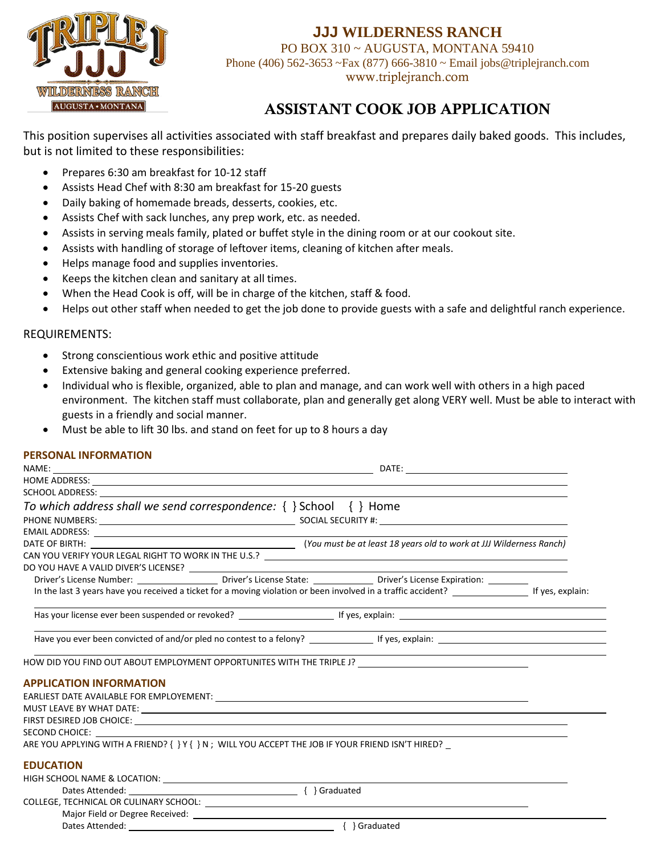

## **JJJ WILDERNESS RANCH**

PO BOX 310 ~ AUGUSTA, MONTANA 59410 Phone (406) 562-3653 ~Fax (877) 666-3810 ~ Email jobs@triplejranch.com www.triplejranch.com

## ASSISTANT COOK JOB APPLICATION

This position supervises all activities associated with staff breakfast and prepares daily baked goods. This includes, but is not limited to these responsibilities:

- Prepares 6:30 am breakfast for 10-12 staff
- Assists Head Chef with 8:30 am breakfast for 15-20 guests
- Daily baking of homemade breads, desserts, cookies, etc.
- Assists Chef with sack lunches, any prep work, etc. as needed.
- Assists in serving meals family, plated or buffet style in the dining room or at our cookout site.
- Assists with handling of storage of leftover items, cleaning of kitchen after meals.
- Helps manage food and supplies inventories.
- Keeps the kitchen clean and sanitary at all times.
- When the Head Cook is off, will be in charge of the kitchen, staff & food.
- Helps out other staff when needed to get the job done to provide guests with a safe and delightful ranch experience.

#### REQUIREMENTS:

- Strong conscientious work ethic and positive attitude
- Extensive baking and general cooking experience preferred.
- Individual who is flexible, organized, able to plan and manage, and can work well with others in a high paced environment. The kitchen staff must collaborate, plan and generally get along VERY well. Must be able to interact with guests in a friendly and social manner.
- Must be able to lift 30 lbs. and stand on feet for up to 8 hours a day

#### **PERSONAL INFORMATION**

|                                                                                                                                                                                                                                |  | HOME ADDRESS: New York Contract the Contract of the Contract of the Contract of the Contract of the Contract of the Contract of the Contract of the Contract of the Contract of the Contract of the Contract of the Contract o |  |  |  |  |  |  |
|--------------------------------------------------------------------------------------------------------------------------------------------------------------------------------------------------------------------------------|--|--------------------------------------------------------------------------------------------------------------------------------------------------------------------------------------------------------------------------------|--|--|--|--|--|--|
|                                                                                                                                                                                                                                |  |                                                                                                                                                                                                                                |  |  |  |  |  |  |
| To which address shall we send correspondence: { } School { } Home                                                                                                                                                             |  |                                                                                                                                                                                                                                |  |  |  |  |  |  |
|                                                                                                                                                                                                                                |  |                                                                                                                                                                                                                                |  |  |  |  |  |  |
|                                                                                                                                                                                                                                |  |                                                                                                                                                                                                                                |  |  |  |  |  |  |
|                                                                                                                                                                                                                                |  |                                                                                                                                                                                                                                |  |  |  |  |  |  |
|                                                                                                                                                                                                                                |  | CAN YOU VERIFY YOUR LEGAL RIGHT TO WORK IN THE U.S.? [100] THE COMMON CAN YOU VERIFY YOUR LEGAL RIGHT TO WORK IN THE U.S.? [100] THE COMMON CAN A STREET AND THE COMMON CAN A STREET AND THE COMMON CAN A STREET AND THE COMMO |  |  |  |  |  |  |
|                                                                                                                                                                                                                                |  |                                                                                                                                                                                                                                |  |  |  |  |  |  |
|                                                                                                                                                                                                                                |  | Driver's License Number: _________________________Driver's License State: __________________________ Driver's License Expiration: ___________                                                                                  |  |  |  |  |  |  |
| In the last 3 years have you received a ticket for a moving violation or been involved in a traffic accident? _________________________If yes, explain:                                                                        |  |                                                                                                                                                                                                                                |  |  |  |  |  |  |
|                                                                                                                                                                                                                                |  |                                                                                                                                                                                                                                |  |  |  |  |  |  |
|                                                                                                                                                                                                                                |  |                                                                                                                                                                                                                                |  |  |  |  |  |  |
|                                                                                                                                                                                                                                |  | HOW DID YOU FIND OUT ABOUT EMPLOYMENT OPPORTUNITES WITH THE TRIPLE J? ______________________________                                                                                                                           |  |  |  |  |  |  |
| <b>APPLICATION INFORMATION</b>                                                                                                                                                                                                 |  |                                                                                                                                                                                                                                |  |  |  |  |  |  |
|                                                                                                                                                                                                                                |  |                                                                                                                                                                                                                                |  |  |  |  |  |  |
|                                                                                                                                                                                                                                |  |                                                                                                                                                                                                                                |  |  |  |  |  |  |
|                                                                                                                                                                                                                                |  |                                                                                                                                                                                                                                |  |  |  |  |  |  |
| SECOND CHOICE: The contract of the contract of the contract of the contract of the contract of the contract of the contract of the contract of the contract of the contract of the contract of the contract of the contract of |  |                                                                                                                                                                                                                                |  |  |  |  |  |  |
| ARE YOU APPLYING WITH A FRIEND? { } Y { } N; WILL YOU ACCEPT THE JOB IF YOUR FRIEND ISN'T HIRED?                                                                                                                               |  |                                                                                                                                                                                                                                |  |  |  |  |  |  |
| <b>EDUCATION</b>                                                                                                                                                                                                               |  |                                                                                                                                                                                                                                |  |  |  |  |  |  |
|                                                                                                                                                                                                                                |  |                                                                                                                                                                                                                                |  |  |  |  |  |  |
|                                                                                                                                                                                                                                |  |                                                                                                                                                                                                                                |  |  |  |  |  |  |
|                                                                                                                                                                                                                                |  |                                                                                                                                                                                                                                |  |  |  |  |  |  |
|                                                                                                                                                                                                                                |  |                                                                                                                                                                                                                                |  |  |  |  |  |  |
|                                                                                                                                                                                                                                |  | { } Graduated                                                                                                                                                                                                                  |  |  |  |  |  |  |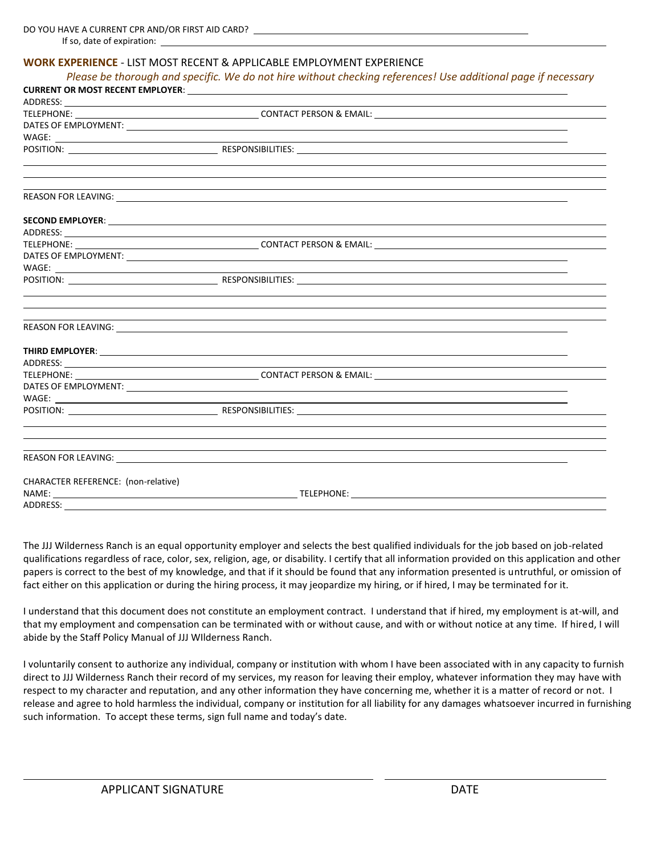#### **WORK EXPERIENCE** - LIST MOST RECENT & APPLICABLE EMPLOYMENT EXPERIENCE

| Please be thorough and specific. We do not hire without checking references! Use additional page if necessary |                                                                                                                                                                                                                                |  |  |  |  |  |
|---------------------------------------------------------------------------------------------------------------|--------------------------------------------------------------------------------------------------------------------------------------------------------------------------------------------------------------------------------|--|--|--|--|--|
|                                                                                                               |                                                                                                                                                                                                                                |  |  |  |  |  |
|                                                                                                               | ADDRESS: North and the contract of the contract of the contract of the contract of the contract of the contract of the contract of the contract of the contract of the contract of the contract of the contract of the contrac |  |  |  |  |  |
|                                                                                                               |                                                                                                                                                                                                                                |  |  |  |  |  |
|                                                                                                               |                                                                                                                                                                                                                                |  |  |  |  |  |
|                                                                                                               |                                                                                                                                                                                                                                |  |  |  |  |  |
|                                                                                                               |                                                                                                                                                                                                                                |  |  |  |  |  |
|                                                                                                               | <u> 1989 - Johann Stoff, amerikansk politiker (d. 1989)</u><br><u> 1989 - Andrea Santa Andrea Andrea Andrea Andrea Andrea Andrea Andrea Andrea Andrea Andrea Andrea Andrea Andr</u>                                            |  |  |  |  |  |
|                                                                                                               |                                                                                                                                                                                                                                |  |  |  |  |  |
|                                                                                                               |                                                                                                                                                                                                                                |  |  |  |  |  |
|                                                                                                               |                                                                                                                                                                                                                                |  |  |  |  |  |
|                                                                                                               |                                                                                                                                                                                                                                |  |  |  |  |  |
|                                                                                                               | DATES OF EMPLOYMENT: New York CONSERVATION CONTROL CONTROL CONTROL CONTROL CONTROL CONTROL CONTROL CONTROL CONTROL CONTROL CONTROL CONTROL CONTROL CONTROL CONTROL CONTROL CONTROL CONTROL CONTROL CONTROL CONTROL CONTROL CON |  |  |  |  |  |
|                                                                                                               |                                                                                                                                                                                                                                |  |  |  |  |  |
|                                                                                                               |                                                                                                                                                                                                                                |  |  |  |  |  |
|                                                                                                               |                                                                                                                                                                                                                                |  |  |  |  |  |
|                                                                                                               |                                                                                                                                                                                                                                |  |  |  |  |  |
|                                                                                                               |                                                                                                                                                                                                                                |  |  |  |  |  |
|                                                                                                               |                                                                                                                                                                                                                                |  |  |  |  |  |
|                                                                                                               |                                                                                                                                                                                                                                |  |  |  |  |  |
|                                                                                                               |                                                                                                                                                                                                                                |  |  |  |  |  |
|                                                                                                               |                                                                                                                                                                                                                                |  |  |  |  |  |
|                                                                                                               |                                                                                                                                                                                                                                |  |  |  |  |  |
|                                                                                                               |                                                                                                                                                                                                                                |  |  |  |  |  |
|                                                                                                               |                                                                                                                                                                                                                                |  |  |  |  |  |
|                                                                                                               | <u> 1989 - Johann Harry Harry Harry Harry Harry Harry Harry Harry Harry Harry Harry Harry Harry Harry Harry Harry</u>                                                                                                          |  |  |  |  |  |
|                                                                                                               |                                                                                                                                                                                                                                |  |  |  |  |  |
| CHARACTER REFERENCE: (non-relative)                                                                           |                                                                                                                                                                                                                                |  |  |  |  |  |
|                                                                                                               |                                                                                                                                                                                                                                |  |  |  |  |  |
| ADDRESS:                                                                                                      |                                                                                                                                                                                                                                |  |  |  |  |  |

The JJJ Wilderness Ranch is an equal opportunity employer and selects the best qualified individuals for the job based on job-related qualifications regardless of race, color, sex, religion, age, or disability. I certify that all information provided on this application and other papers is correct to the best of my knowledge, and that if it should be found that any information presented is untruthful, or omission of fact either on this application or during the hiring process, it may jeopardize my hiring, or if hired, I may be terminated for it.

I understand that this document does not constitute an employment contract. I understand that if hired, my employment is at-will, and that my employment and compensation can be terminated with or without cause, and with or without notice at any time. If hired, I will abide by the Staff Policy Manual of JJJ WIlderness Ranch.

I voluntarily consent to authorize any individual, company or institution with whom I have been associated with in any capacity to furnish direct to JJJ Wilderness Ranch their record of my services, my reason for leaving their employ, whatever information they may have with respect to my character and reputation, and any other information they have concerning me, whether it is a matter of record or not. I release and agree to hold harmless the individual, company or institution for all liability for any damages whatsoever incurred in furnishing such information. To accept these terms, sign full name and today's date.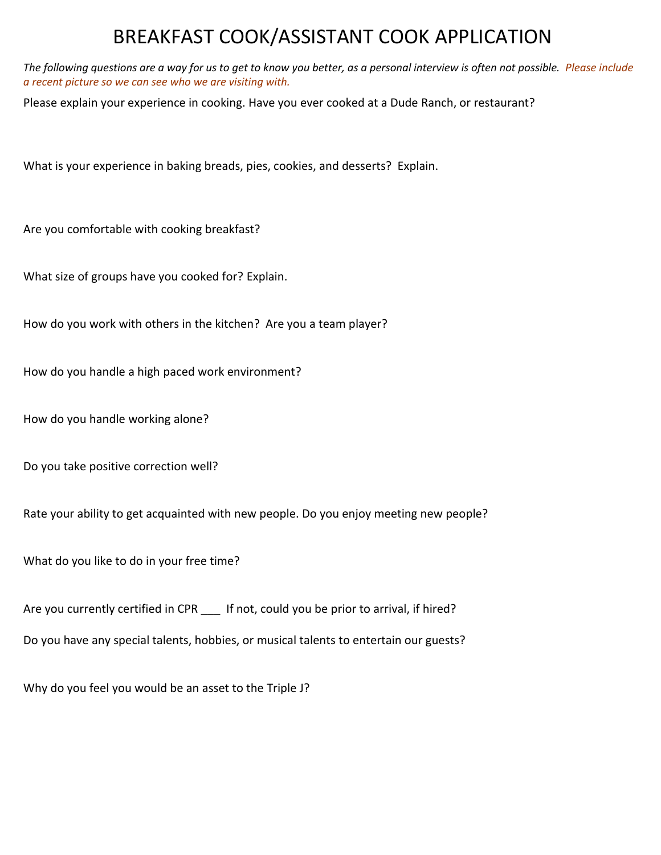# BREAKFAST COOK/ASSISTANT COOK APPLICATION

*The following questions are a way for us to get to know you better, as a personal interview is often not possible. Please include a recent picture so we can see who we are visiting with.* 

Please explain your experience in cooking. Have you ever cooked at a Dude Ranch, or restaurant?

What is your experience in baking breads, pies, cookies, and desserts? Explain.

Are you comfortable with cooking breakfast?

What size of groups have you cooked for? Explain.

How do you work with others in the kitchen? Are you a team player?

How do you handle a high paced work environment?

How do you handle working alone?

Do you take positive correction well?

Rate your ability to get acquainted with new people. Do you enjoy meeting new people?

What do you like to do in your free time?

Are you currently certified in CPR \_\_\_ If not, could you be prior to arrival, if hired?

Do you have any special talents, hobbies, or musical talents to entertain our guests?

Why do you feel you would be an asset to the Triple J?